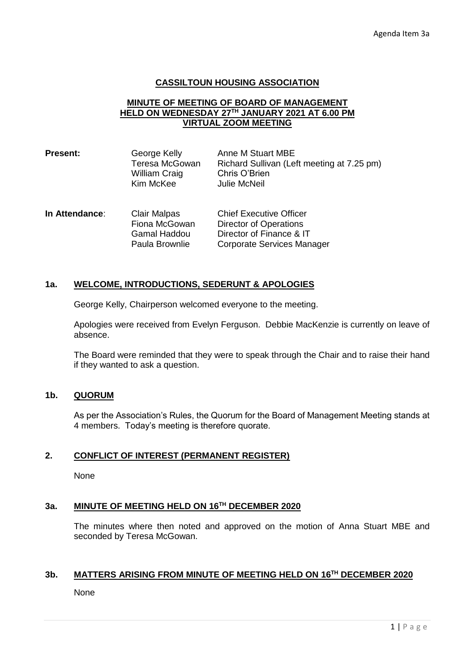### **CASSILTOUN HOUSING ASSOCIATION**

## **MINUTE OF MEETING OF BOARD OF MANAGEMENT HELD ON WEDNESDAY 27TH JANUARY 2021 AT 6.00 PM VIRTUAL ZOOM MEETING**

| <b>Present:</b> | George Kelly   | Anne M Stuart MBE                          |
|-----------------|----------------|--------------------------------------------|
|                 | Teresa McGowan | Richard Sullivan (Left meeting at 7.25 pm) |
|                 | William Craig  | Chris O'Brien                              |
|                 | Kim McKee      | Julie McNeil                               |
|                 |                |                                            |

| In Attendance: | <b>Clair Malpas</b> | <b>Chief Executive Officer</b> |
|----------------|---------------------|--------------------------------|
|                | Fiona McGowan       | Director of Operations         |
|                | Gamal Haddou        | Director of Finance & IT       |
|                | Paula Brownlie      | Corporate Services Manager     |

# **1a. WELCOME, INTRODUCTIONS, SEDERUNT & APOLOGIES**

George Kelly, Chairperson welcomed everyone to the meeting.

Apologies were received from Evelyn Ferguson. Debbie MacKenzie is currently on leave of absence.

The Board were reminded that they were to speak through the Chair and to raise their hand if they wanted to ask a question.

### **1b. QUORUM**

As per the Association's Rules, the Quorum for the Board of Management Meeting stands at 4 members. Today's meeting is therefore quorate.

# **2. CONFLICT OF INTEREST (PERMANENT REGISTER)**

None

# **3a. MINUTE OF MEETING HELD ON 16TH DECEMBER 2020**

The minutes where then noted and approved on the motion of Anna Stuart MBE and seconded by Teresa McGowan.

#### **3b. MATTERS ARISING FROM MINUTE OF MEETING HELD ON 16TH DECEMBER 2020**

None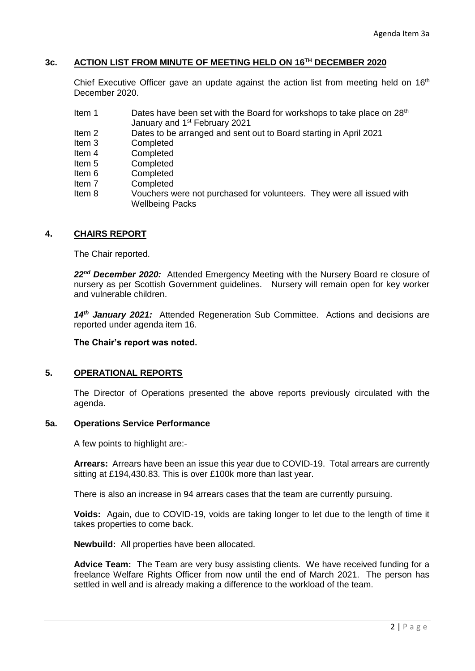### **3c. ACTION LIST FROM MINUTE OF MEETING HELD ON 16TH DECEMBER 2020**

Chief Executive Officer gave an update against the action list from meeting held on  $16<sup>th</sup>$ December 2020.

- Item 1 Dates have been set with the Board for workshops to take place on 28<sup>th</sup> January and 1<sup>st</sup> February 2021
- Item 2 Dates to be arranged and sent out to Board starting in April 2021
- Item 3 Completed
- Item 4 Completed
- Item 5 Completed
- Item 6 Completed
- Item 7 Completed
- Item 8 Vouchers were not purchased for volunteers. They were all issued with Wellbeing Packs

## **4. CHAIRS REPORT**

The Chair reported.

22<sup>nd</sup> December 2020: Attended Emergency Meeting with the Nursery Board re closure of nursery as per Scottish Government guidelines. Nursery will remain open for key worker and vulnerable children.

*14th January 2021:* Attended Regeneration Sub Committee. Actions and decisions are reported under agenda item 16.

**The Chair's report was noted.**

# **5. OPERATIONAL REPORTS**

The Director of Operations presented the above reports previously circulated with the agenda.

#### **5a. Operations Service Performance**

A few points to highlight are:-

**Arrears:** Arrears have been an issue this year due to COVID-19. Total arrears are currently sitting at £194,430.83. This is over £100k more than last year.

There is also an increase in 94 arrears cases that the team are currently pursuing.

**Voids:** Again, due to COVID-19, voids are taking longer to let due to the length of time it takes properties to come back.

**Newbuild:** All properties have been allocated.

**Advice Team:** The Team are very busy assisting clients. We have received funding for a freelance Welfare Rights Officer from now until the end of March 2021. The person has settled in well and is already making a difference to the workload of the team.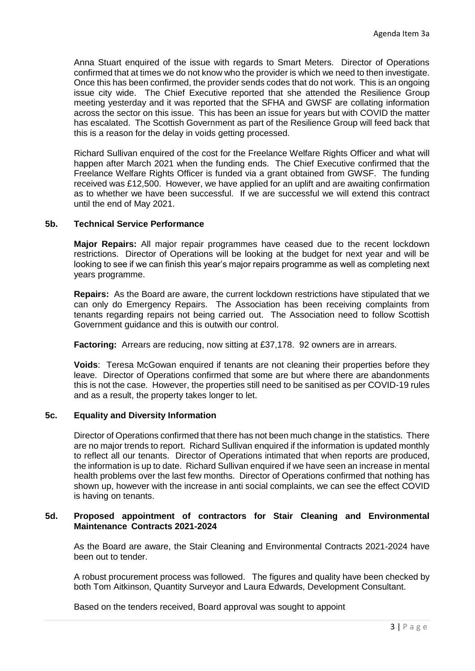Anna Stuart enquired of the issue with regards to Smart Meters. Director of Operations confirmed that at times we do not know who the provider is which we need to then investigate. Once this has been confirmed, the provider sends codes that do not work. This is an ongoing issue city wide. The Chief Executive reported that she attended the Resilience Group meeting yesterday and it was reported that the SFHA and GWSF are collating information across the sector on this issue. This has been an issue for years but with COVID the matter has escalated. The Scottish Government as part of the Resilience Group will feed back that this is a reason for the delay in voids getting processed.

Richard Sullivan enquired of the cost for the Freelance Welfare Rights Officer and what will happen after March 2021 when the funding ends. The Chief Executive confirmed that the Freelance Welfare Rights Officer is funded via a grant obtained from GWSF. The funding received was £12,500. However, we have applied for an uplift and are awaiting confirmation as to whether we have been successful. If we are successful we will extend this contract until the end of May 2021.

### **5b. Technical Service Performance**

**Major Repairs:** All major repair programmes have ceased due to the recent lockdown restrictions. Director of Operations will be looking at the budget for next year and will be looking to see if we can finish this year's major repairs programme as well as completing next years programme.

**Repairs:** As the Board are aware, the current lockdown restrictions have stipulated that we can only do Emergency Repairs. The Association has been receiving complaints from tenants regarding repairs not being carried out. The Association need to follow Scottish Government guidance and this is outwith our control.

**Factoring:** Arrears are reducing, now sitting at £37,178. 92 owners are in arrears.

**Voids**: Teresa McGowan enquired if tenants are not cleaning their properties before they leave. Director of Operations confirmed that some are but where there are abandonments this is not the case. However, the properties still need to be sanitised as per COVID-19 rules and as a result, the property takes longer to let.

# **5c. Equality and Diversity Information**

Director of Operations confirmed that there has not been much change in the statistics. There are no major trends to report. Richard Sullivan enquired if the information is updated monthly to reflect all our tenants. Director of Operations intimated that when reports are produced, the information is up to date. Richard Sullivan enquired if we have seen an increase in mental health problems over the last few months. Director of Operations confirmed that nothing has shown up, however with the increase in anti social complaints, we can see the effect COVID is having on tenants.

### **5d. Proposed appointment of contractors for Stair Cleaning and Environmental Maintenance Contracts 2021-2024**

As the Board are aware, the Stair Cleaning and Environmental Contracts 2021-2024 have been out to tender.

A robust procurement process was followed. The figures and quality have been checked by both Tom Aitkinson, Quantity Surveyor and Laura Edwards, Development Consultant.

Based on the tenders received, Board approval was sought to appoint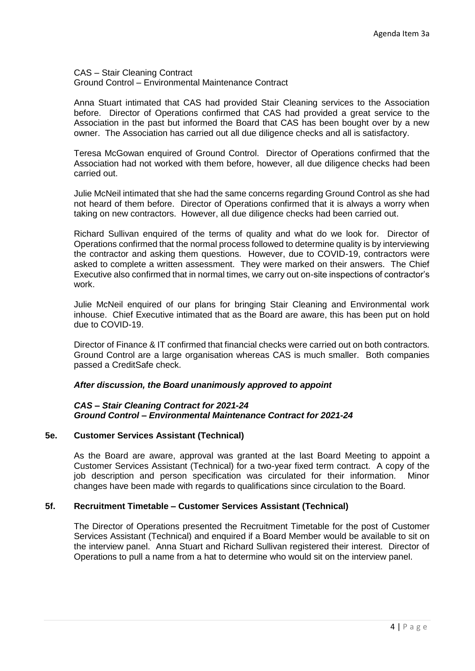CAS – Stair Cleaning Contract Ground Control – Environmental Maintenance Contract

Anna Stuart intimated that CAS had provided Stair Cleaning services to the Association before. Director of Operations confirmed that CAS had provided a great service to the Association in the past but informed the Board that CAS has been bought over by a new owner. The Association has carried out all due diligence checks and all is satisfactory.

Teresa McGowan enquired of Ground Control. Director of Operations confirmed that the Association had not worked with them before, however, all due diligence checks had been carried out.

Julie McNeil intimated that she had the same concerns regarding Ground Control as she had not heard of them before. Director of Operations confirmed that it is always a worry when taking on new contractors. However, all due diligence checks had been carried out.

Richard Sullivan enquired of the terms of quality and what do we look for. Director of Operations confirmed that the normal process followed to determine quality is by interviewing the contractor and asking them questions. However, due to COVID-19, contractors were asked to complete a written assessment. They were marked on their answers. The Chief Executive also confirmed that in normal times, we carry out on-site inspections of contractor's work.

Julie McNeil enquired of our plans for bringing Stair Cleaning and Environmental work inhouse. Chief Executive intimated that as the Board are aware, this has been put on hold due to COVID-19.

Director of Finance & IT confirmed that financial checks were carried out on both contractors. Ground Control are a large organisation whereas CAS is much smaller. Both companies passed a CreditSafe check.

#### *After discussion, the Board unanimously approved to appoint*

#### *CAS – Stair Cleaning Contract for 2021-24 Ground Control – Environmental Maintenance Contract for 2021-24*

#### **5e. Customer Services Assistant (Technical)**

As the Board are aware, approval was granted at the last Board Meeting to appoint a Customer Services Assistant (Technical) for a two-year fixed term contract. A copy of the job description and person specification was circulated for their information. Minor changes have been made with regards to qualifications since circulation to the Board.

# **5f. Recruitment Timetable – Customer Services Assistant (Technical)**

The Director of Operations presented the Recruitment Timetable for the post of Customer Services Assistant (Technical) and enquired if a Board Member would be available to sit on the interview panel. Anna Stuart and Richard Sullivan registered their interest. Director of Operations to pull a name from a hat to determine who would sit on the interview panel.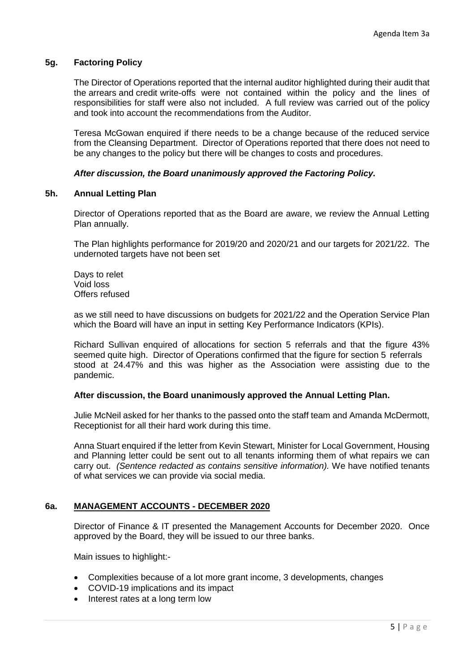### **5g. Factoring Policy**

The Director of Operations reported that the internal auditor highlighted during their audit that the arrears and credit write-offs were not contained within the policy and the lines of responsibilities for staff were also not included. A full review was carried out of the policy and took into account the recommendations from the Auditor.

Teresa McGowan enquired if there needs to be a change because of the reduced service from the Cleansing Department. Director of Operations reported that there does not need to be any changes to the policy but there will be changes to costs and procedures.

### *After discussion, the Board unanimously approved the Factoring Policy.*

#### **5h. Annual Letting Plan**

Director of Operations reported that as the Board are aware, we review the Annual Letting Plan annually.

The Plan highlights performance for 2019/20 and 2020/21 and our targets for 2021/22. The undernoted targets have not been set

Days to relet Void loss Offers refused

as we still need to have discussions on budgets for 2021/22 and the Operation Service Plan which the Board will have an input in setting Key Performance Indicators (KPIs).

Richard Sullivan enquired of allocations for section 5 referrals and that the figure 43% seemed quite high. Director of Operations confirmed that the figure for section 5 referrals stood at 24.47% and this was higher as the Association were assisting due to the pandemic.

#### **After discussion, the Board unanimously approved the Annual Letting Plan.**

Julie McNeil asked for her thanks to the passed onto the staff team and Amanda McDermott, Receptionist for all their hard work during this time.

Anna Stuart enquired if the letter from Kevin Stewart, Minister for Local Government, Housing and Planning letter could be sent out to all tenants informing them of what repairs we can carry out. *(Sentence redacted as contains sensitive information).* We have notified tenants of what services we can provide via social media.

# **6a. MANAGEMENT ACCOUNTS - DECEMBER 2020**

Director of Finance & IT presented the Management Accounts for December 2020. Once approved by the Board, they will be issued to our three banks.

Main issues to highlight:-

- Complexities because of a lot more grant income, 3 developments, changes
- COVID-19 implications and its impact
- Interest rates at a long term low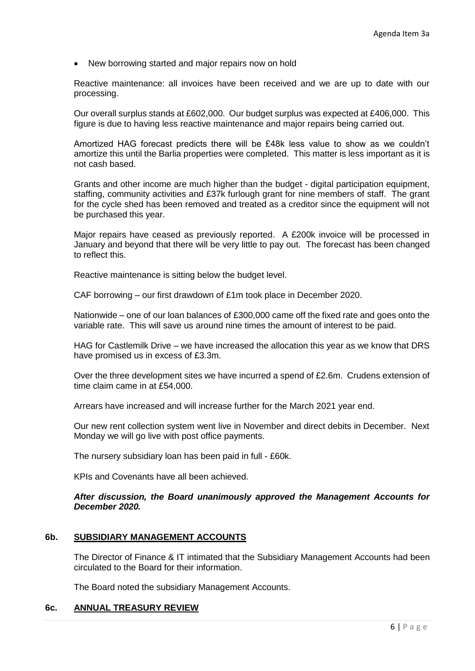• New borrowing started and major repairs now on hold

Reactive maintenance: all invoices have been received and we are up to date with our processing.

Our overall surplus stands at £602,000. Our budget surplus was expected at £406,000. This figure is due to having less reactive maintenance and major repairs being carried out.

Amortized HAG forecast predicts there will be £48k less value to show as we couldn't amortize this until the Barlia properties were completed. This matter is less important as it is not cash based.

Grants and other income are much higher than the budget - digital participation equipment, staffing, community activities and £37k furlough grant for nine members of staff. The grant for the cycle shed has been removed and treated as a creditor since the equipment will not be purchased this year.

Major repairs have ceased as previously reported. A £200k invoice will be processed in January and beyond that there will be very little to pay out. The forecast has been changed to reflect this.

Reactive maintenance is sitting below the budget level.

CAF borrowing – our first drawdown of £1m took place in December 2020.

Nationwide – one of our loan balances of £300,000 came off the fixed rate and goes onto the variable rate. This will save us around nine times the amount of interest to be paid.

HAG for Castlemilk Drive – we have increased the allocation this year as we know that DRS have promised us in excess of £3.3m.

Over the three development sites we have incurred a spend of £2.6m. Crudens extension of time claim came in at £54,000.

Arrears have increased and will increase further for the March 2021 year end.

Our new rent collection system went live in November and direct debits in December. Next Monday we will go live with post office payments.

The nursery subsidiary loan has been paid in full - £60k.

KPIs and Covenants have all been achieved.

#### *After discussion, the Board unanimously approved the Management Accounts for December 2020.*

#### **6b. SUBSIDIARY MANAGEMENT ACCOUNTS**

The Director of Finance & IT intimated that the Subsidiary Management Accounts had been circulated to the Board for their information.

The Board noted the subsidiary Management Accounts.

# **6c. ANNUAL TREASURY REVIEW**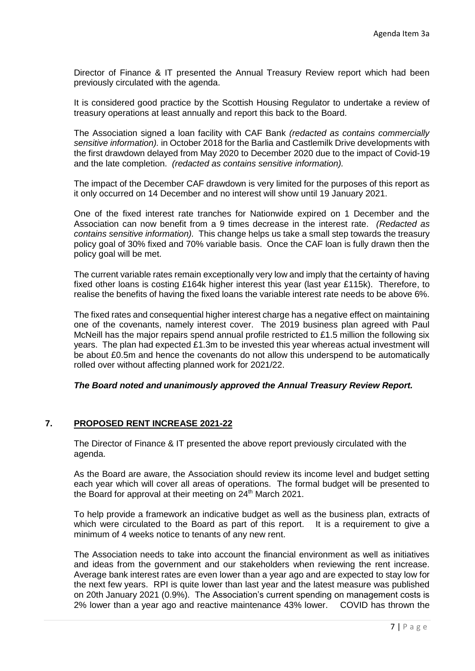Director of Finance & IT presented the Annual Treasury Review report which had been previously circulated with the agenda.

It is considered good practice by the Scottish Housing Regulator to undertake a review of treasury operations at least annually and report this back to the Board.

The Association signed a loan facility with CAF Bank *(redacted as contains commercially sensitive information).* in October 2018 for the Barlia and Castlemilk Drive developments with the first drawdown delayed from May 2020 to December 2020 due to the impact of Covid-19 and the late completion. *(redacted as contains sensitive information).*

The impact of the December CAF drawdown is very limited for the purposes of this report as it only occurred on 14 December and no interest will show until 19 January 2021.

One of the fixed interest rate tranches for Nationwide expired on 1 December and the Association can now benefit from a 9 times decrease in the interest rate. *(Redacted as contains sensitive information).* This change helps us take a small step towards the treasury policy goal of 30% fixed and 70% variable basis. Once the CAF loan is fully drawn then the policy goal will be met.

The current variable rates remain exceptionally very low and imply that the certainty of having fixed other loans is costing £164k higher interest this year (last year £115k). Therefore, to realise the benefits of having the fixed loans the variable interest rate needs to be above 6%.

The fixed rates and consequential higher interest charge has a negative effect on maintaining one of the covenants, namely interest cover. The 2019 business plan agreed with Paul McNeill has the major repairs spend annual profile restricted to £1.5 million the following six years. The plan had expected £1.3m to be invested this year whereas actual investment will be about £0.5m and hence the covenants do not allow this underspend to be automatically rolled over without affecting planned work for 2021/22.

# *The Board noted and unanimously approved the Annual Treasury Review Report.*

# **7. PROPOSED RENT INCREASE 2021-22**

The Director of Finance & IT presented the above report previously circulated with the agenda.

As the Board are aware, the Association should review its income level and budget setting each year which will cover all areas of operations. The formal budget will be presented to the Board for approval at their meeting on  $24<sup>th</sup>$  March 2021.

To help provide a framework an indicative budget as well as the business plan, extracts of which were circulated to the Board as part of this report. It is a requirement to give a minimum of 4 weeks notice to tenants of any new rent.

The Association needs to take into account the financial environment as well as initiatives and ideas from the government and our stakeholders when reviewing the rent increase. Average bank interest rates are even lower than a year ago and are expected to stay low for the next few years. RPI is quite lower than last year and the latest measure was published on 20th January 2021 (0.9%). The Association's current spending on management costs is 2% lower than a year ago and reactive maintenance 43% lower. COVID has thrown the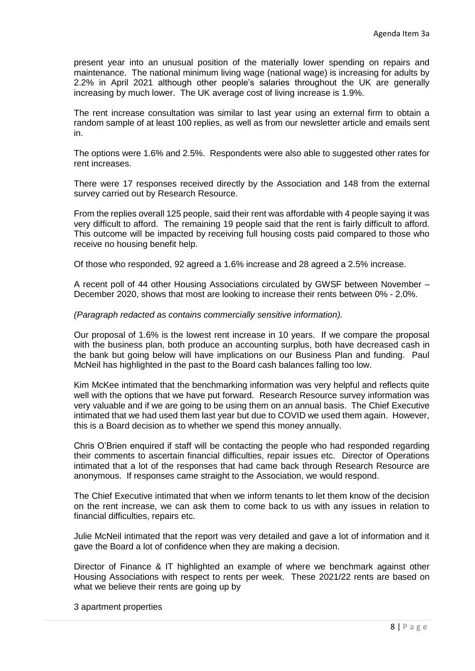present year into an unusual position of the materially lower spending on repairs and maintenance. The national minimum living wage (national wage) is increasing for adults by 2.2% in April 2021 although other people's salaries throughout the UK are generally increasing by much lower. The UK average cost of living increase is 1.9%.

The rent increase consultation was similar to last year using an external firm to obtain a random sample of at least 100 replies, as well as from our newsletter article and emails sent in.

The options were 1.6% and 2.5%. Respondents were also able to suggested other rates for rent increases.

There were 17 responses received directly by the Association and 148 from the external survey carried out by Research Resource.

From the replies overall 125 people, said their rent was affordable with 4 people saying it was very difficult to afford. The remaining 19 people said that the rent is fairly difficult to afford. This outcome will be impacted by receiving full housing costs paid compared to those who receive no housing benefit help.

Of those who responded, 92 agreed a 1.6% increase and 28 agreed a 2.5% increase.

A recent poll of 44 other Housing Associations circulated by GWSF between November – December 2020, shows that most are looking to increase their rents between 0% - 2.0%.

#### *(Paragraph redacted as contains commercially sensitive information).*

Our proposal of 1.6% is the lowest rent increase in 10 years. If we compare the proposal with the business plan, both produce an accounting surplus, both have decreased cash in the bank but going below will have implications on our Business Plan and funding. Paul McNeil has highlighted in the past to the Board cash balances falling too low.

Kim McKee intimated that the benchmarking information was very helpful and reflects quite well with the options that we have put forward. Research Resource survey information was very valuable and if we are going to be using them on an annual basis. The Chief Executive intimated that we had used them last year but due to COVID we used them again. However, this is a Board decision as to whether we spend this money annually.

Chris O'Brien enquired if staff will be contacting the people who had responded regarding their comments to ascertain financial difficulties, repair issues etc. Director of Operations intimated that a lot of the responses that had came back through Research Resource are anonymous. If responses came straight to the Association, we would respond.

The Chief Executive intimated that when we inform tenants to let them know of the decision on the rent increase, we can ask them to come back to us with any issues in relation to financial difficulties, repairs etc.

Julie McNeil intimated that the report was very detailed and gave a lot of information and it gave the Board a lot of confidence when they are making a decision.

Director of Finance & IT highlighted an example of where we benchmark against other Housing Associations with respect to rents per week. These 2021/22 rents are based on what we believe their rents are going up by

3 apartment properties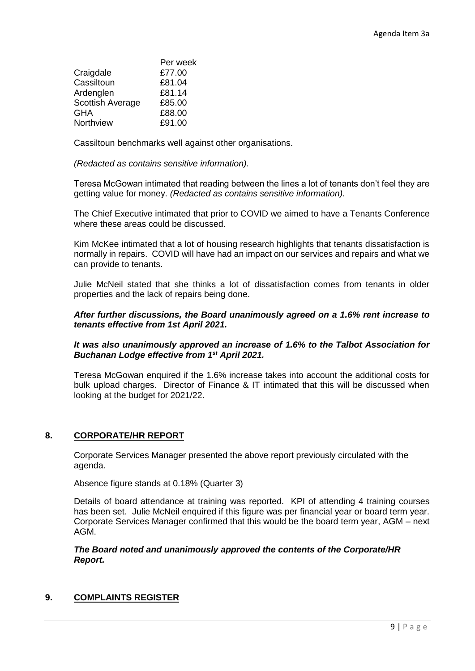|                  | Per week |
|------------------|----------|
| Craigdale        | £77.00   |
| Cassiltoun       | £81.04   |
| Ardenglen        | £81.14   |
| Scottish Average | £85.00   |
| GHA              | £88.00   |
| Northview        | £91.00   |

Cassiltoun benchmarks well against other organisations.

*(Redacted as contains sensitive information).*

Teresa McGowan intimated that reading between the lines a lot of tenants don't feel they are getting value for money. *(Redacted as contains sensitive information).*

The Chief Executive intimated that prior to COVID we aimed to have a Tenants Conference where these areas could be discussed.

Kim McKee intimated that a lot of housing research highlights that tenants dissatisfaction is normally in repairs. COVID will have had an impact on our services and repairs and what we can provide to tenants.

Julie McNeil stated that she thinks a lot of dissatisfaction comes from tenants in older properties and the lack of repairs being done.

# *After further discussions, the Board unanimously agreed on a 1.6% rent increase to tenants effective from 1st April 2021.*

# *It was also unanimously approved an increase of 1.6% to the Talbot Association for Buchanan Lodge effective from 1st April 2021.*

Teresa McGowan enquired if the 1.6% increase takes into account the additional costs for bulk upload charges. Director of Finance & IT intimated that this will be discussed when looking at the budget for 2021/22.

# **8. CORPORATE/HR REPORT**

Corporate Services Manager presented the above report previously circulated with the agenda.

Absence figure stands at 0.18% (Quarter 3)

Details of board attendance at training was reported. KPI of attending 4 training courses has been set. Julie McNeil enquired if this figure was per financial year or board term year. Corporate Services Manager confirmed that this would be the board term year, AGM – next AGM.

### *The Board noted and unanimously approved the contents of the Corporate/HR Report.*

# **9. COMPLAINTS REGISTER**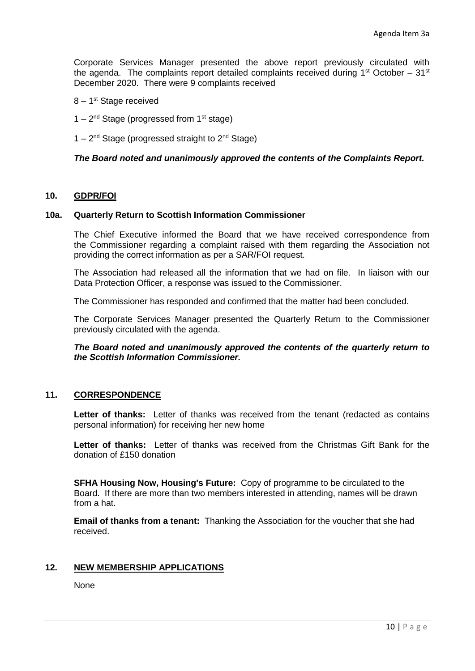Corporate Services Manager presented the above report previously circulated with the agenda. The complaints report detailed complaints received during  $1<sup>st</sup> October - 31<sup>st</sup>$ December 2020. There were 9 complaints received

- 8 1<sup>st</sup> Stage received
- $1 2<sup>nd</sup>$  Stage (progressed from 1<sup>st</sup> stage)
- $1 2<sup>nd</sup>$  Stage (progressed straight to  $2<sup>nd</sup>$  Stage)

### *The Board noted and unanimously approved the contents of the Complaints Report.*

### **10. GDPR/FOI**

#### **10a. Quarterly Return to Scottish Information Commissioner**

The Chief Executive informed the Board that we have received correspondence from the Commissioner regarding a complaint raised with them regarding the Association not providing the correct information as per a SAR/FOI request.

The Association had released all the information that we had on file. In liaison with our Data Protection Officer, a response was issued to the Commissioner.

The Commissioner has responded and confirmed that the matter had been concluded.

The Corporate Services Manager presented the Quarterly Return to the Commissioner previously circulated with the agenda.

*The Board noted and unanimously approved the contents of the quarterly return to the Scottish Information Commissioner.*

#### **11. CORRESPONDENCE**

**Letter of thanks:** Letter of thanks was received from the tenant (redacted as contains personal information) for receiving her new home

**Letter of thanks:** Letter of thanks was received from the Christmas Gift Bank for the donation of £150 donation

**SFHA Housing Now, Housing's Future:** Copy of programme to be circulated to the Board. If there are more than two members interested in attending, names will be drawn from a hat.

**Email of thanks from a tenant:** Thanking the Association for the voucher that she had received.

### **12. NEW MEMBERSHIP APPLICATIONS**

None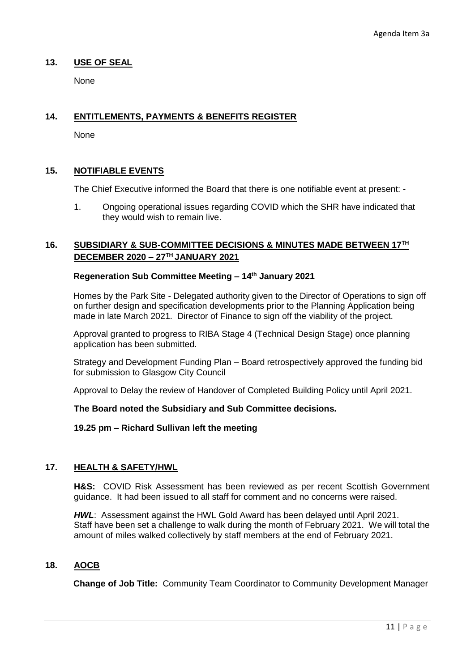## **13. USE OF SEAL**

None

# **14. ENTITLEMENTS, PAYMENTS & BENEFITS REGISTER**

None

# **15. NOTIFIABLE EVENTS**

The Chief Executive informed the Board that there is one notifiable event at present: -

1. Ongoing operational issues regarding COVID which the SHR have indicated that they would wish to remain live.

# **16. SUBSIDIARY & SUB-COMMITTEE DECISIONS & MINUTES MADE BETWEEN 17TH DECEMBER 2020 – 27TH JANUARY 2021**

# **Regeneration Sub Committee Meeting – 14th January 2021**

Homes by the Park Site - Delegated authority given to the Director of Operations to sign off on further design and specification developments prior to the Planning Application being made in late March 2021. Director of Finance to sign off the viability of the project.

Approval granted to progress to RIBA Stage 4 (Technical Design Stage) once planning application has been submitted.

Strategy and Development Funding Plan – Board retrospectively approved the funding bid for submission to Glasgow City Council

Approval to Delay the review of Handover of Completed Building Policy until April 2021.

#### **The Board noted the Subsidiary and Sub Committee decisions.**

#### **19.25 pm – Richard Sullivan left the meeting**

## **17. HEALTH & SAFETY/HWL**

**H&S:** COVID Risk Assessment has been reviewed as per recent Scottish Government guidance. It had been issued to all staff for comment and no concerns were raised.

*HWL*: Assessment against the HWL Gold Award has been delayed until April 2021. Staff have been set a challenge to walk during the month of February 2021. We will total the amount of miles walked collectively by staff members at the end of February 2021.

#### **18. AOCB**

**Change of Job Title:** Community Team Coordinator to Community Development Manager